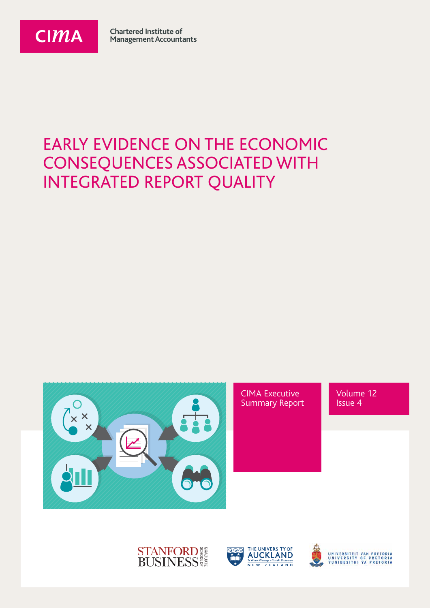

**Chartered Institute of Management Accountants** 

#### EARLY EVIDENCE ON THE ECONOMIC CONSEQUENCES ASSOCIATED WITH INTEGRATED REPORT QUALITY







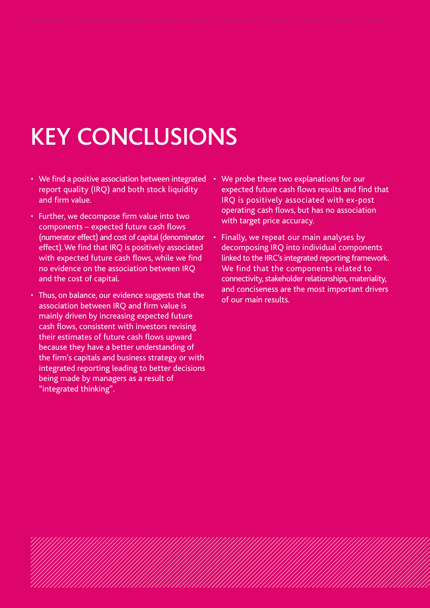# KEY CONCLUSIONS

- We find a positive association between integrated report quality (IRQ) and both stock liquidity and firm value.
- Further, we decompose firm value into two components – expected future cash flows (numerator effect) and cost of capital (denominator effect). We find that IRQ is positively associated with expected future cash flows, while we find no evidence on the association between IRQ and the cost of capital.
- Thus, on balance, our evidence suggests that the association between IRQ and firm value is mainly driven by increasing expected future cash flows, consistent with investors revising their estimates of future cash flows upward because they have a better understanding of the firm's capitals and business strategy or with integrated reporting leading to better decisions being made by managers as a result of "integrated thinking".
- We probe these two explanations for our expected future cash flows results and find that IRQ is positively associated with ex-post operating cash flows, but has no association with target price accuracy.
- Finally, we repeat our main analyses by decomposing IRQ into individual components linked to the IIRC's integrated reporting framework. We find that the components related to connectivity, stakeholder relationships, materiality, and conciseness are the most important drivers of our main results.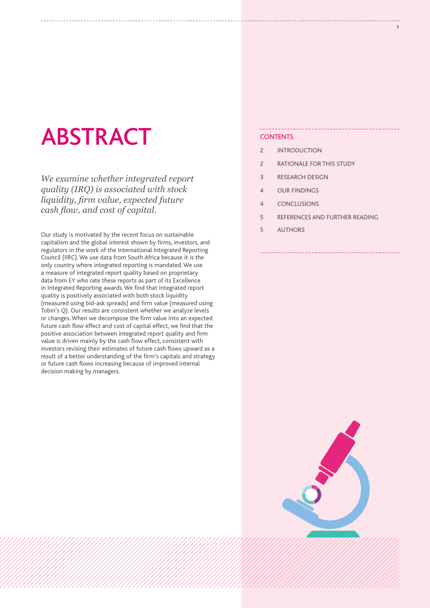### ABSTRACT

*We examine whether integrated report quality (IRQ) is associated with stock liquidity, firm value, expected future cash flow, and cost of capital.*

Our study is motivated by the recent focus on sustainable capitalism and the global interest shown by firms, investors, and regulators in the work of the International Integrated Reporting Council (IIRC). We use data from South Africa because it is the only country where integrated reporting is mandated. We use a measure of integrated report quality based on proprietary data from EY who rate these reports as part of its Excellence in Integrated Reporting awards. We find that integrated report quality is positively associated with both stock liquidity (measured using bid-ask spreads) and firm value (measured using Tobin's Q). Our results are consistent whether we analyze levels or changes. When we decompose the firm value into an expected future cash flow effect and cost of capital effect, we find that the positive association between integrated report quality and firm value is driven mainly by the cash flow effect, consistent with investors revising their estimates of future cash flows upward as a result of a better understanding of the firm's capitals and strategy or future cash flows increasing because of improved internal decision making by managers.

#### **CONTENTS**

- 2 INTRODUCTION
- 2 RATIONALE FOR THIS STUDY
- 3 RESEARCH DESIGN
- 4 OUR FINDINGS
- 4 CONCLUSIONS
- 5 REFERENCES AND FURTHER READING
- 5 AUTHORS

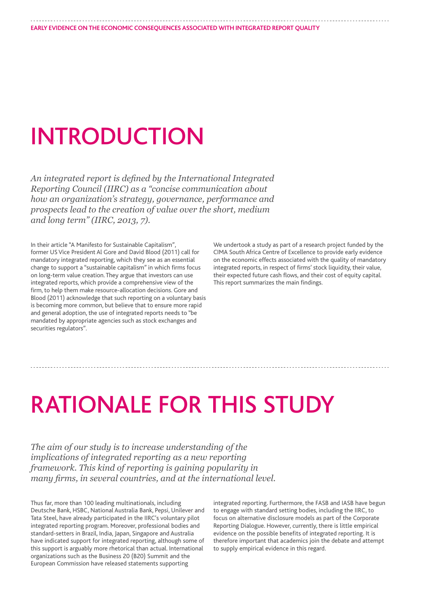## INTRODUCTION

*An integrated report is defined by the International Integrated Reporting Council (IIRC) as a "concise communication about how an organization's strategy, governance, performance and prospects lead to the creation of value over the short, medium and long term" (IIRC, 2013, 7).*

In their article "A Manifesto for Sustainable Capitalism", former US Vice President Al Gore and David Blood (2011) call for mandatory integrated reporting, which they see as an essential change to support a "sustainable capitalism" in which firms focus on long-term value creation. They argue that investors can use integrated reports, which provide a comprehensive view of the firm, to help them make resource-allocation decisions. Gore and Blood (2011) acknowledge that such reporting on a voluntary basis is becoming more common, but believe that to ensure more rapid and general adoption, the use of integrated reports needs to "be mandated by appropriate agencies such as stock exchanges and securities regulators".

We undertook a study as part of a research project funded by the CIMA South Africa Centre of Excellence to provide early evidence on the economic effects associated with the quality of mandatory integrated reports, in respect of firms' stock liquidity, their value, their expected future cash flows, and their cost of equity capital. This report summarizes the main findings.

### RATIONALE FOR THIS STUDY

*The aim of our study is to increase understanding of the implications of integrated reporting as a new reporting framework. This kind of reporting is gaining popularity in many firms, in several countries, and at the international level.*

Thus far, more than 100 leading multinationals, including Deutsche Bank, HSBC, National Australia Bank, Pepsi, Unilever and Tata Steel, have already participated in the IIRC's voluntary pilot integrated reporting program. Moreover, professional bodies and standard-setters in Brazil, India, Japan, Singapore and Australia have indicated support for integrated reporting, although some of this support is arguably more rhetorical than actual. International organizations such as the Business 20 (B20) Summit and the European Commission have released statements supporting

integrated reporting. Furthermore, the FASB and IASB have begun to engage with standard setting bodies, including the IIRC, to focus on alternative disclosure models as part of the Corporate Reporting Dialogue. However, currently, there is little empirical evidence on the possible benefits of integrated reporting. It is therefore important that academics join the debate and attempt to supply empirical evidence in this regard.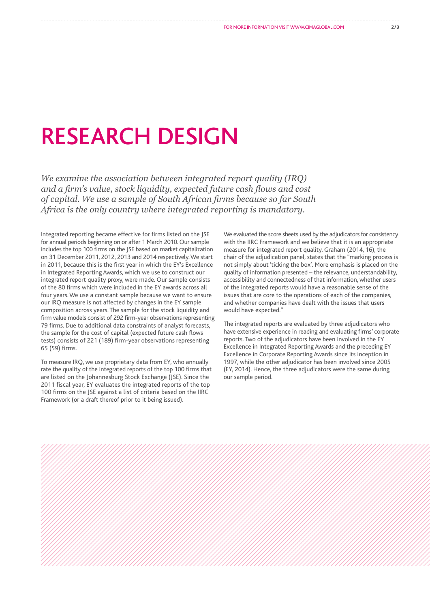### RESEARCH DESIGN

*We examine the association between integrated report quality (IRQ) and a firm's value, stock liquidity, expected future cash flows and cost of capital. We use a sample of South African firms because so far South Africa is the only country where integrated reporting is mandatory.*

Integrated reporting became effective for firms listed on the JSE for annual periods beginning on or after 1 March 2010. Our sample includes the top 100 firms on the JSE based on market capitalization on 31 December 2011, 2012, 2013 and 2014 respectively. We start in 2011, because this is the first year in which the EY's Excellence in Integrated Reporting Awards, which we use to construct our integrated report quality proxy, were made. Our sample consists of the 80 firms which were included in the EY awards across all four years. We use a constant sample because we want to ensure our IRQ measure is not affected by changes in the EY sample composition across years. The sample for the stock liquidity and firm value models consist of 292 firm-year observations representing 79 firms. Due to additional data constraints of analyst forecasts, the sample for the cost of capital (expected future cash flows tests) consists of 221 (189) firm-year observations representing 65 (59) firms.

To measure IRQ, we use proprietary data from EY, who annually rate the quality of the integrated reports of the top 100 firms that are listed on the Johannesburg Stock Exchange (JSE). Since the 2011 fiscal year, EY evaluates the integrated reports of the top 100 firms on the JSE against a list of criteria based on the IIRC Framework (or a draft thereof prior to it being issued).

We evaluated the score sheets used by the adjudicators for consistency with the IIRC Framework and we believe that it is an appropriate measure for integrated report quality. Graham (2014, 16), the chair of the adjudication panel, states that the "marking process is not simply about 'ticking the box'. More emphasis is placed on the quality of information presented – the relevance, understandability, accessibility and connectedness of that information, whether users of the integrated reports would have a reasonable sense of the issues that are core to the operations of each of the companies, and whether companies have dealt with the issues that users would have expected."

The integrated reports are evaluated by three adjudicators who have extensive experience in reading and evaluating firms' corporate reports. Two of the adjudicators have been involved in the EY Excellence in Integrated Reporting Awards and the preceding EY Excellence in Corporate Reporting Awards since its inception in 1997, while the other adjudicator has been involved since 2005 (EY, 2014). Hence, the three adjudicators were the same during our sample period.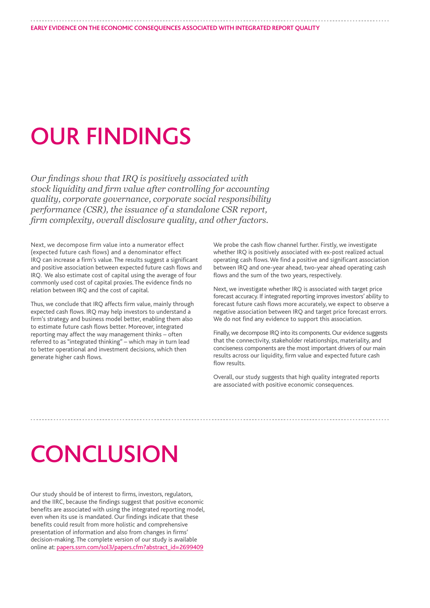### OUR FINDINGS

*Our findings show that IRQ is positively associated with stock liquidity and firm value after controlling for accounting quality, corporate governance, corporate social responsibility performance (CSR), the issuance of a standalone CSR report, firm complexity, overall disclosure quality, and other factors.* 

Next, we decompose firm value into a numerator effect (expected future cash flows) and a denominator effect IRQ can increase a firm's value. The results suggest a significant and positive association between expected future cash flows and IRQ. We also estimate cost of capital using the average of four commonly used cost of capital proxies. The evidence finds no relation between IRQ and the cost of capital.

Thus, we conclude that IRQ affects firm value, mainly through expected cash flows. IRQ may help investors to understand a firm's strategy and business model better, enabling them also to estimate future cash flows better. Moreover, integrated reporting may affect the way management thinks – often referred to as "integrated thinking" – which may in turn lead to better operational and investment decisions, which then generate higher cash flows.

We probe the cash flow channel further. Firstly, we investigate whether IRQ is positively associated with ex-post realized actual operating cash flows. We find a positive and significant association between IRQ and one-year ahead, two-year ahead operating cash flows and the sum of the two years, respectively.

Next, we investigate whether IRQ is associated with target price forecast accuracy. If integrated reporting improves investors' ability to forecast future cash flows more accurately, we expect to observe a negative association between IRQ and target price forecast errors. We do not find any evidence to support this association.

Finally, we decompose IRQ into its components. Our evidence suggests that the connectivity, stakeholder relationships, materiality, and conciseness components are the most important drivers of our main results across our liquidity, firm value and expected future cash flow results.

Overall, our study suggests that high quality integrated reports are associated with positive economic consequences.

### **CONCLUSION**

Our study should be of interest to firms, investors, regulators, and the IIRC, because the findings suggest that positive economic benefits are associated with using the integrated reporting model, even when its use is mandated. Our findings indicate that these benefits could result from more holistic and comprehensive presentation of information and also from changes in firms' decision-making. The complete version of our study is available online at: [papers.ssrn.com/sol3/papers.cfm?abstract\\_id=2699409](http://papers.ssrn.com/sol3/papers.cfm?abstract_id=2699409)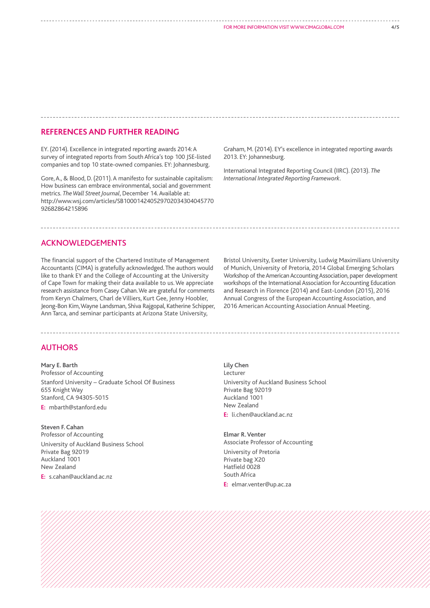#### **REFERENCES AND FURTHER READING**

EY. (2014). Excellence in integrated reporting awards 2014: A survey of integrated reports from South Africa's top 100 JSE-listed companies and top 10 state-owned companies. EY: Johannesburg.

Gore, A., & Blood, D. (2011). A manifesto for sustainable capitalism: How business can embrace environmental, social and government metrics. *The Wall Street Journal*, December 14. Available at: http://www.wsj.com/articles/SB100014240529702034304045770 92682864215896

Graham, M. (2014). EY's excellence in integrated reporting awards 2013. EY: Johannesburg.

International Integrated Reporting Council (IIRC). (2013). *The International Integrated Reporting Framework*.

#### ACKNOWLEDGEMENTS

The financial support of the Chartered Institute of Management Accountants (CIMA) is gratefully acknowledged. The authors would like to thank EY and the College of Accounting at the University of Cape Town for making their data available to us. We appreciate research assistance from Casey Cahan. We are grateful for comments from Keryn Chalmers, Charl de Villiers, Kurt Gee, Jenny Hoobler, Jeong-Bon Kim, Wayne Landsman, Shiva Rajgopal, Katherine Schipper, Ann Tarca, and seminar participants at Arizona State University,

Bristol University, Exeter University, Ludwig Maximilians University of Munich, University of Pretoria, 2014 Global Emerging Scholars Workshop of the American Accounting Association, paper development workshops of the International Association for Accounting Education and Research in Florence (2014) and East-London (2015), 2016 Annual Congress of the European Accounting Association, and 2016 American Accounting Association Annual Meeting.

#### AUTHORS

**Mary E. Barth** Professor of Accounting Stanford University – Graduate School Of Business 655 Knight Way Stanford, CA 94305-5015 **E:** mbarth@stanford.edu

**Steven F. Cahan** Professor of Accounting University of Auckland Business School Private Bag 92019 Auckland 1001 New Zealand **E:** s.cahan@auckland.ac.nz

**Lily Chen** Lecturer University of Auckland Business School Private Bag 92019 Auckland 1001 New Zealand **E:** li.chen@auckland.ac.nz

**Elmar R. Venter** Associate Professor of Accounting University of Pretoria Private bag X20 Hatfield 0028 South Africa **E:** elmar.venter@up.ac.za